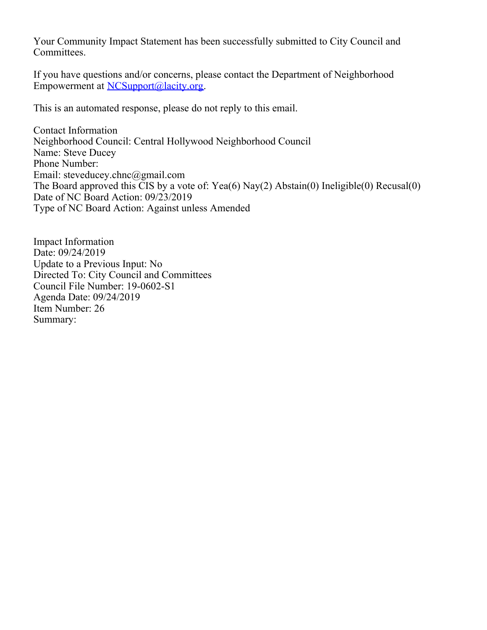Your Community Impact Statement has been successfully submitted to City Council and Committees.

If you have questions and/or concerns, please contact the Department of Neighborhood Empowerment at [NCSupport@lacity.org](mailto:NCSupport@lacity.org).

This is an automated response, please do not reply to this email.

Contact Information Neighborhood Council: Central Hollywood Neighborhood Council Name: Steve Ducey Phone Number: Email: steveducey.chnc@gmail.com The Board approved this CIS by a vote of: Yea(6) Nay(2) Abstain(0) Ineligible(0) Recusal(0) Date of NC Board Action: 09/23/2019 Type of NC Board Action: Against unless Amended

Impact Information Date: 09/24/2019 Update to a Previous Input: No Directed To: City Council and Committees Council File Number: 19-0602-S1 Agenda Date: 09/24/2019 Item Number: 26 Summary: